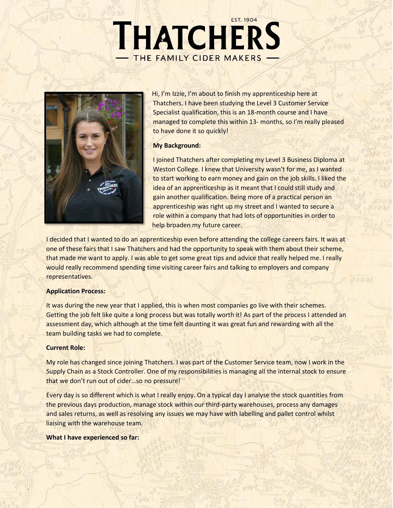# **EST. 1904** THATCHERS THE FAMILY CIDER MAKERS



Hi, I'm Izzie, I'm about to finish my apprenticeship here at Thatchers. I have been studying the Level 3 Customer Service Specialist qualification, this is an 18-month course and I have managed to complete this within 13- months, so I'm really pleased to have done it so quickly!

## **My Background:**

I joined Thatchers after completing my Level 3 Business Diploma at Weston College. I knew that University wasn't for me, as I wanted to start working to earn money and gain on the job skills. I liked the idea of an apprenticeship as it meant that I could still study and gain another qualification. Being more of a practical person an apprenticeship was right up my street and I wanted to secure a role within a company that had lots of opportunities in order to help broaden my future career.

 $2200$ 

I decided that I wanted to do an apprenticeship even before attending the college careers fairs. It was at one of these fairs that I saw Thatchers and had the opportunity to speak with them about their scheme, that made me want to apply. I was able to get some great tips and advice that really helped me. I really would really recommend spending time visiting career fairs and talking to employers and company representatives.

## **Application Process:**

It was during the new year that I applied, this is when most companies go live with their schemes. Getting the job felt like quite a long process but was totally worth it! As part of the process I attended an assessment day, which although at the time felt daunting it was great fun and rewarding with all the team building tasks we had to complete.

## **Current Role:**

My role has changed since joining Thatchers. I was part of the Customer Service team, now I work in the Supply Chain as a Stock Controller. One of my responsibilities is managing all the internal stock to ensure that we don't run out of cider…so no pressure!

Every day is so different which is what I really enjoy. On a typical day I analyse the stock quantities from the previous days production, manage stock within our third-party warehouses, process any damages and sales returns, as well as resolving any issues we may have with labelling and pallet control whilst liaising with the warehouse team.

**What I have experienced so far:**